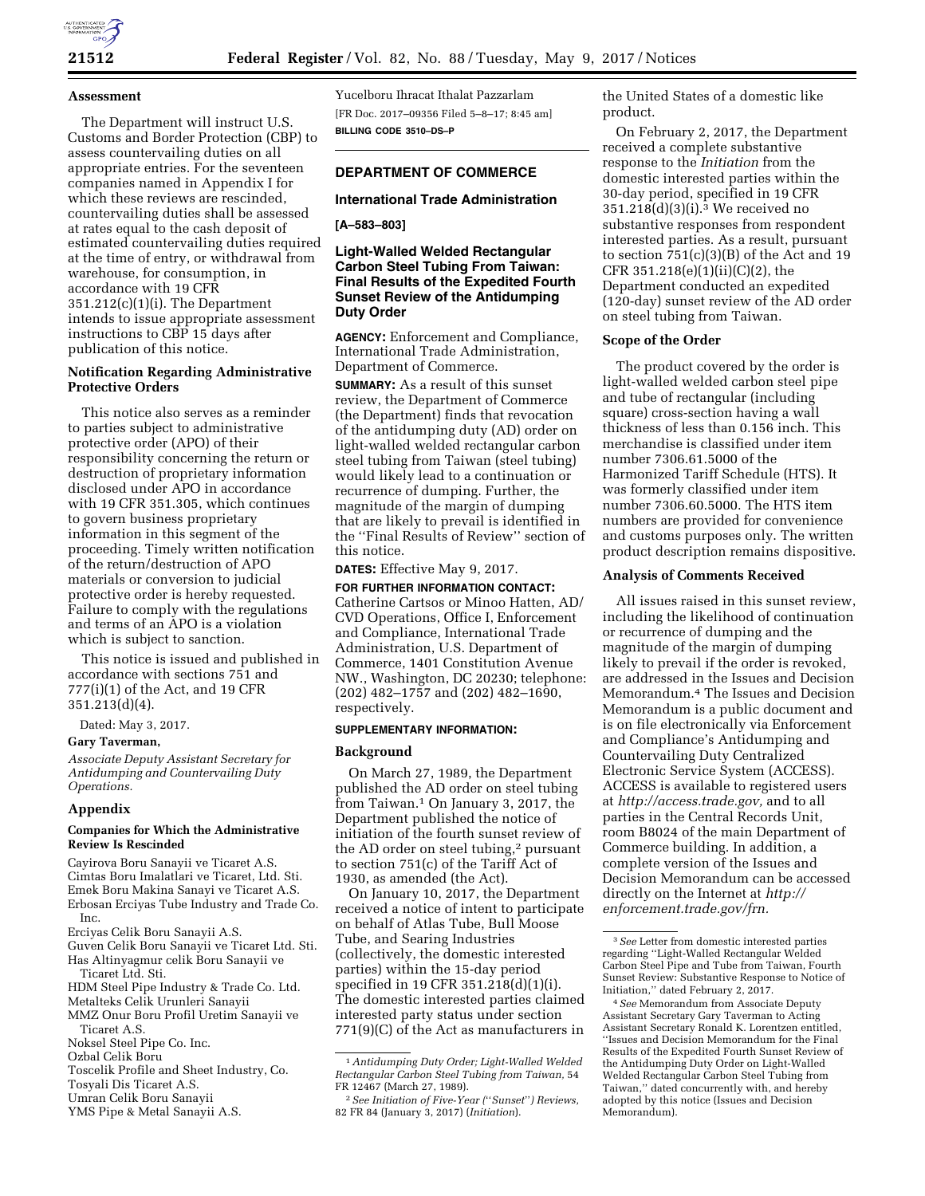

### **Assessment**

The Department will instruct U.S. Customs and Border Protection (CBP) to assess countervailing duties on all appropriate entries. For the seventeen companies named in Appendix I for which these reviews are rescinded, countervailing duties shall be assessed at rates equal to the cash deposit of estimated countervailing duties required at the time of entry, or withdrawal from warehouse, for consumption, in accordance with 19 CFR 351.212(c)(1)(i). The Department intends to issue appropriate assessment instructions to CBP 15 days after publication of this notice.

### **Notification Regarding Administrative Protective Orders**

This notice also serves as a reminder to parties subject to administrative protective order (APO) of their responsibility concerning the return or destruction of proprietary information disclosed under APO in accordance with 19 CFR 351.305, which continues to govern business proprietary information in this segment of the proceeding. Timely written notification of the return/destruction of APO materials or conversion to judicial protective order is hereby requested. Failure to comply with the regulations and terms of an APO is a violation which is subject to sanction.

This notice is issued and published in accordance with sections 751 and 777(i)(1) of the Act, and 19 CFR 351.213(d)(4).

Dated: May 3, 2017.

#### **Gary Taverman,**

*Associate Deputy Assistant Secretary for Antidumping and Countervailing Duty Operations.* 

#### **Appendix**

## **Companies for Which the Administrative Review Is Rescinded**

Cayirova Boru Sanayii ve Ticaret A.S. Cimtas Boru Imalatlari ve Ticaret, Ltd. Sti. Emek Boru Makina Sanayi ve Ticaret A.S. Erbosan Erciyas Tube Industry and Trade Co. Inc.

Erciyas Celik Boru Sanayii A.S.

Guven Celik Boru Sanayii ve Ticaret Ltd. Sti. Has Altinyagmur celik Boru Sanayii ve Ticaret Ltd. Sti.

HDM Steel Pipe Industry & Trade Co. Ltd.

Metalteks Celik Urunleri Sanayii

MMZ Onur Boru Profil Uretim Sanayii ve

Ticaret A.S.

Toscelik Profile and Sheet Industry, Co. Tosyali Dis Ticaret A.S.

- Umran Celik Boru Sanayii
- YMS Pipe & Metal Sanayii A.S.

Yucelboru Ihracat Ithalat Pazzarlam [FR Doc. 2017–09356 Filed 5–8–17; 8:45 am] **BILLING CODE 3510–DS–P** 

## **DEPARTMENT OF COMMERCE**

## **International Trade Administration**

### **[A–583–803]**

## **Light-Walled Welded Rectangular Carbon Steel Tubing From Taiwan: Final Results of the Expedited Fourth Sunset Review of the Antidumping Duty Order**

**AGENCY:** Enforcement and Compliance, International Trade Administration, Department of Commerce.

**SUMMARY:** As a result of this sunset review, the Department of Commerce (the Department) finds that revocation of the antidumping duty (AD) order on light-walled welded rectangular carbon steel tubing from Taiwan (steel tubing) would likely lead to a continuation or recurrence of dumping. Further, the magnitude of the margin of dumping that are likely to prevail is identified in the ''Final Results of Review'' section of this notice.

**DATES:** Effective May 9, 2017.

**FOR FURTHER INFORMATION CONTACT:**  Catherine Cartsos or Minoo Hatten, AD/ CVD Operations, Office I, Enforcement and Compliance, International Trade Administration, U.S. Department of Commerce, 1401 Constitution Avenue NW., Washington, DC 20230; telephone: (202) 482–1757 and (202) 482–1690, respectively.

### **SUPPLEMENTARY INFORMATION:**

#### **Background**

On March 27, 1989, the Department published the AD order on steel tubing from Taiwan.1 On January 3, 2017, the Department published the notice of initiation of the fourth sunset review of the AD order on steel tubing,<sup>2</sup> pursuant to section 751(c) of the Tariff Act of 1930, as amended (the Act).

On January 10, 2017, the Department received a notice of intent to participate on behalf of Atlas Tube, Bull Moose Tube, and Searing Industries (collectively, the domestic interested parties) within the 15-day period specified in 19 CFR 351.218(d)(1)(i). The domestic interested parties claimed interested party status under section 771(9)(C) of the Act as manufacturers in the United States of a domestic like product.

On February 2, 2017, the Department received a complete substantive response to the *Initiation* from the domestic interested parties within the 30-day period, specified in 19 CFR 351.218(d)(3)(i).3 We received no substantive responses from respondent interested parties. As a result, pursuant to section 751(c)(3)(B) of the Act and 19 CFR  $351.218(e)(1)(ii)(C)(2)$ , the Department conducted an expedited (120-day) sunset review of the AD order on steel tubing from Taiwan.

#### **Scope of the Order**

The product covered by the order is light-walled welded carbon steel pipe and tube of rectangular (including square) cross-section having a wall thickness of less than 0.156 inch. This merchandise is classified under item number 7306.61.5000 of the Harmonized Tariff Schedule (HTS). It was formerly classified under item number 7306.60.5000. The HTS item numbers are provided for convenience and customs purposes only. The written product description remains dispositive.

### **Analysis of Comments Received**

All issues raised in this sunset review, including the likelihood of continuation or recurrence of dumping and the magnitude of the margin of dumping likely to prevail if the order is revoked, are addressed in the Issues and Decision Memorandum.4 The Issues and Decision Memorandum is a public document and is on file electronically via Enforcement and Compliance's Antidumping and Countervailing Duty Centralized Electronic Service System (ACCESS). ACCESS is available to registered users at *[http://access.trade.gov,](http://access.trade.gov)* and to all parties in the Central Records Unit, room B8024 of the main Department of Commerce building. In addition, a complete version of the Issues and Decision Memorandum can be accessed directly on the Internet at *[http://](http://enforcement.trade.gov/frn) [enforcement.trade.gov/frn.](http://enforcement.trade.gov/frn)* 

Noksel Steel Pipe Co. Inc. Ozbal Celik Boru

<sup>1</sup>*Antidumping Duty Order; Light-Walled Welded Rectangular Carbon Steel Tubing from Taiwan,* 54 FR 12467 (March 27, 1989).

<sup>2</sup>*See Initiation of Five-Year (*''*Sunset*''*) Reviews,*  82 FR 84 (January 3, 2017) (*Initiation*).

<sup>3</sup>*See* Letter from domestic interested parties regarding ''Light-Walled Rectangular Welded Carbon Steel Pipe and Tube from Taiwan, Fourth Sunset Review: Substantive Response to Notice of Initiation,'' dated February 2, 2017.

<sup>4</sup>*See* Memorandum from Associate Deputy Assistant Secretary Gary Taverman to Acting Assistant Secretary Ronald K. Lorentzen entitled, ''Issues and Decision Memorandum for the Final Results of the Expedited Fourth Sunset Review of the Antidumping Duty Order on Light-Walled Welded Rectangular Carbon Steel Tubing from Taiwan,'' dated concurrently with, and hereby adopted by this notice (Issues and Decision Memorandum).